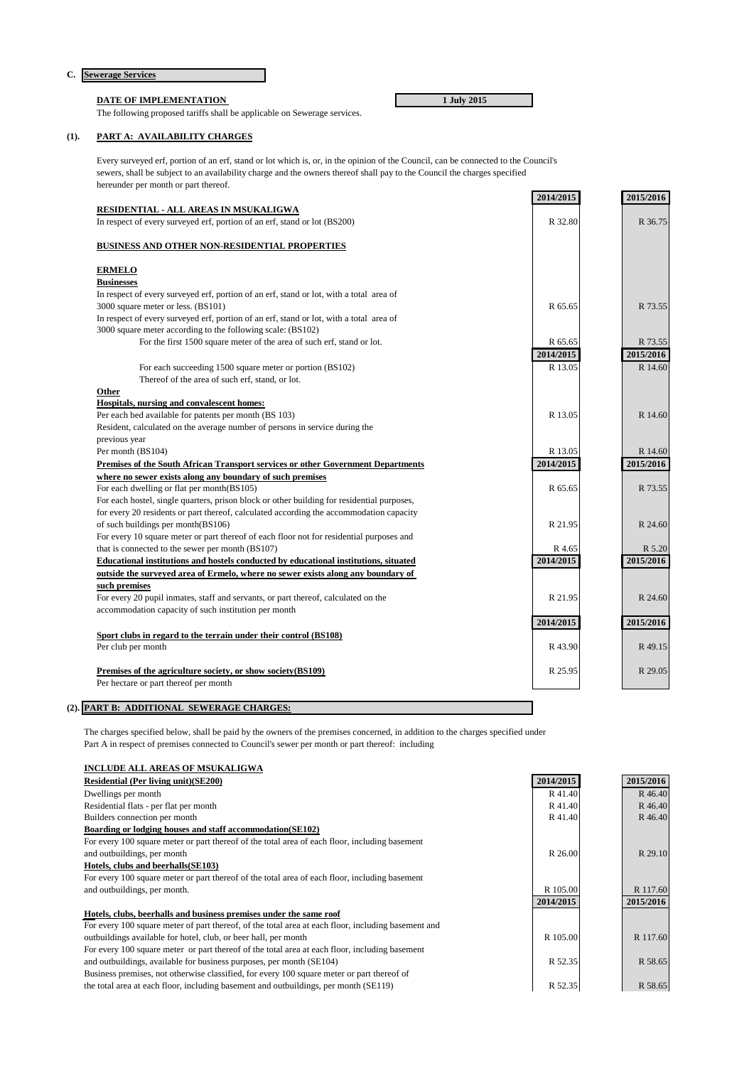# **C. Sewerage Services**

# **DATE OF IMPLEMENTATION** 1 July 2015

The following proposed tariffs shall be applicable on Sewerage services.

## **(1). PART A: AVAILABILITY CHARGES**

Every surveyed erf, portion of an erf, stand or lot which is, or, in the opinion of the Council, can be connected to the Council's sewers, shall be subject to an availability charge and the owners thereof shall pay to the Council the charges specified hereunder per month or part thereof.

|                                                                                            | 2014/2015 | 2015/2016 |
|--------------------------------------------------------------------------------------------|-----------|-----------|
| RESIDENTIAL - ALL AREAS IN MSUKALIGWA                                                      |           |           |
| In respect of every surveyed erf, portion of an erf, stand or lot (BS200)                  | R 32.80   | R 36.75   |
|                                                                                            |           |           |
| <b>BUSINESS AND OTHER NON-RESIDENTIAL PROPERTIES</b>                                       |           |           |
|                                                                                            |           |           |
| <b>ERMELO</b>                                                                              |           |           |
| <b>Businesses</b>                                                                          |           |           |
| In respect of every surveyed erf, portion of an erf, stand or lot, with a total area of    |           |           |
| 3000 square meter or less. (BS101)                                                         | R 65.65   | R 73.55   |
| In respect of every surveyed erf, portion of an erf, stand or lot, with a total area of    |           |           |
| 3000 square meter according to the following scale: (BS102)                                |           |           |
| For the first 1500 square meter of the area of such erf, stand or lot.                     | R 65.65   | R 73.55   |
|                                                                                            | 2014/2015 | 2015/2016 |
| For each succeeding 1500 square meter or portion (BS102)                                   | R 13.05   | R 14.60   |
| Thereof of the area of such erf, stand, or lot.                                            |           |           |
| Other                                                                                      |           |           |
| Hospitals, nursing and convalescent homes:                                                 |           |           |
| Per each bed available for patents per month (BS 103)                                      | R 13.05   | R 14.60   |
| Resident, calculated on the average number of persons in service during the                |           |           |
| previous year                                                                              |           |           |
| Per month (BS104)                                                                          | R 13.05   | R 14.60   |
| Premises of the South African Transport services or other Government Departments           | 2014/2015 | 2015/2016 |
| where no sewer exists along any boundary of such premises                                  |           |           |
| For each dwelling or flat per month(BS105)                                                 | R 65.65   | R 73.55   |
| For each hostel, single quarters, prison block or other building for residential purposes, |           |           |
| for every 20 residents or part thereof, calculated according the accommodation capacity    |           |           |
| of such buildings per month(BS106)                                                         | R 21.95   | R 24.60   |
| For every 10 square meter or part thereof of each floor not for residential purposes and   |           |           |
| that is connected to the sewer per month (BS107)                                           | R 4.65    | R 5.20    |
| Educational institutions and hostels conducted by educational institutions, situated       | 2014/2015 | 2015/2016 |
| outside the surveyed area of Ermelo, where no sewer exists along any boundary of           |           |           |
| such premises                                                                              |           |           |
| For every 20 pupil inmates, staff and servants, or part thereof, calculated on the         | R 21.95   | R 24.60   |
| accommodation capacity of such institution per month                                       |           |           |
|                                                                                            | 2014/2015 | 2015/2016 |
| Sport clubs in regard to the terrain under their control (BS108)                           |           |           |
| Per club per month                                                                         | R43.90    | R 49.15   |
|                                                                                            |           |           |
| Premises of the agriculture society, or show society(BS109)                                | R 25.95   | R 29.05   |
| Per hectare or part thereof per month                                                      |           |           |
|                                                                                            |           |           |

**(2). PART B: ADDITIONAL SEWERAGE CHARGES:**

The charges specified below, shall be paid by the owners of the premises concerned, in addition to the charges specified under Part A in respect of premises connected to Council's sewer per month or part thereof: including

| <b>INCLUDE ALL AREAS OF MSUKALIGWA</b>                                                              |           |           |
|-----------------------------------------------------------------------------------------------------|-----------|-----------|
| <b>Residential (Per living unit)(SE200)</b>                                                         | 2014/2015 | 2015/2016 |
| Dwellings per month                                                                                 | R41.40    | R 46.40   |
| Residential flats - per flat per month                                                              | R41.40    | R 46.40   |
| Builders connection per month                                                                       | R41.40    | R 46.40   |
| Boarding or lodging houses and staff accommodation (SE102)                                          |           |           |
| For every 100 square meter or part thereof of the total area of each floor, including basement      |           |           |
| and outbuildings, per month                                                                         | R 26.00   | R 29.10   |
| Hotels, clubs and beerhalls (SE103)                                                                 |           |           |
| For every 100 square meter or part thereof of the total area of each floor, including basement      |           |           |
| and outbuildings, per month.                                                                        | R 105.00  | R 117.60  |
|                                                                                                     | 2014/2015 | 2015/2016 |
| Hotels, clubs, beerhalls and business premises under the same roof                                  |           |           |
| For every 100 square meter of part thereof, of the total area at each floor, including basement and |           |           |
| outbuildings available for hotel, club, or beer hall, per month                                     | R 105.00  | R 117.60  |
| For every 100 square meter or part thereof of the total area at each floor, including basement      |           |           |
| and outbuildings, available for business purposes, per month (SE104)                                | R 52.35   | R 58.65   |
| Business premises, not otherwise classified, for every 100 square meter or part thereof of          |           |           |
| the total area at each floor, including basement and outbuildings, per month (SE119)                | R 52.35   | R 58.65   |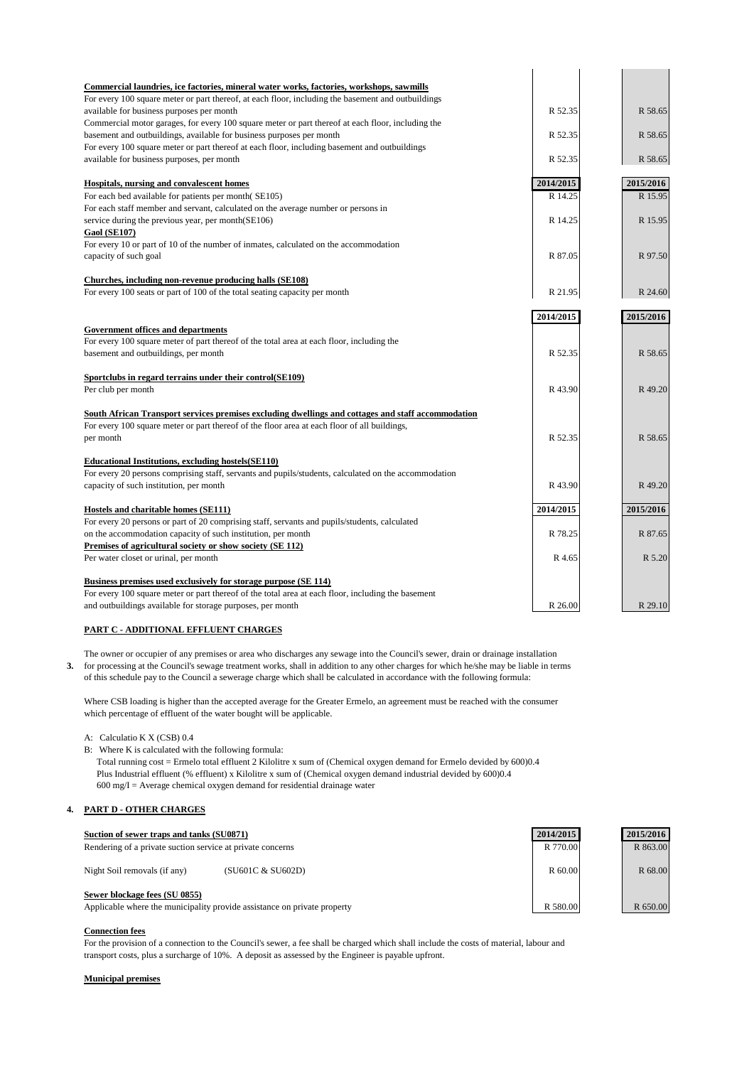| Commercial laundries, ice factories, mineral water works, factories, workshops, sawmills             |           |           |
|------------------------------------------------------------------------------------------------------|-----------|-----------|
| For every 100 square meter or part thereof, at each floor, including the basement and outbuildings   |           |           |
| available for business purposes per month                                                            | R 52.35   | R 58.65   |
| Commercial motor garages, for every 100 square meter or part thereof at each floor, including the    |           |           |
| basement and outbuildings, available for business purposes per month                                 | R 52.35   | R 58.65   |
| For every 100 square meter or part thereof at each floor, including basement and outbuildings        |           |           |
| available for business purposes, per month                                                           | R 52.35   | R 58.65   |
| <b>Hospitals, nursing and convalescent homes</b>                                                     | 2014/2015 | 2015/2016 |
| For each bed available for patients per month (SE105)                                                | R 14.25   | R 15.95   |
| For each staff member and servant, calculated on the average number or persons in                    |           |           |
| service during the previous year, per month(SE106)                                                   | R 14.25   | R 15.95   |
| <b>Gaol (SE107)</b>                                                                                  |           |           |
| For every 10 or part of 10 of the number of inmates, calculated on the accommodation                 |           |           |
| capacity of such goal                                                                                | R 87.05   | R 97.50   |
| Churches, including non-revenue producing halls (SE108)                                              |           |           |
| For every 100 seats or part of 100 of the total seating capacity per month                           | R 21.95   | R 24.60   |
|                                                                                                      | 2014/2015 | 2015/2016 |
| <b>Government offices and departments</b>                                                            |           |           |
| For every 100 square meter of part thereof of the total area at each floor, including the            |           |           |
| basement and outbuildings, per month                                                                 | R 52.35   | R 58.65   |
| Sportclubs in regard terrains under their control(SE109)                                             |           |           |
| Per club per month                                                                                   | R 43.90   | R 49.20   |
| South African Transport services premises excluding dwellings and cottages and staff accommodation   |           |           |
| For every 100 square meter or part thereof of the floor area at each floor of all buildings,         |           |           |
| per month                                                                                            | R 52.35   | R 58.65   |
| <b>Educational Institutions, excluding hostels (SE110)</b>                                           |           |           |
| For every 20 persons comprising staff, servants and pupils/students, calculated on the accommodation |           |           |
| capacity of such institution, per month                                                              | R43.90    | R 49.20   |
| <b>Hostels and charitable homes (SE111)</b>                                                          | 2014/2015 | 2015/2016 |
| For every 20 persons or part of 20 comprising staff, servants and pupils/students, calculated        |           |           |
| on the accommodation capacity of such institution, per month                                         | R 78.25   | R 87.65   |
| <b>Premises of agricultural society or show society (SE 112)</b>                                     |           |           |
| Per water closet or urinal, per month                                                                | R 4.65    | R 5.20    |
| Business premises used exclusively for storage purpose (SE 114)                                      |           |           |
| For every 100 square meter or part thereof of the total area at each floor, including the basement   |           |           |
| and outbuildings available for storage purposes, per month                                           | R 26.00   | R 29.10   |

## **PART C - ADDITIONAL EFFLUENT CHARGES**

The owner or occupier of any premises or area who discharges any sewage into the Council's sewer, drain or drainage installation **3.** for processing at the Council's sewage treatment works, shall in addition to any other charges for which he/she may be liable in terms of this schedule pay to the Council a sewerage charge which shall be calculated in accordance with the following formula:

Where CSB loading is higher than the accepted average for the Greater Ermelo, an agreement must be reached with the consumer which percentage of effluent of the water bought will be applicable.

A: Calculatio K X (CSB) 0.4

B: Where K is calculated with the following formula:

Total running cost = Ermelo total effluent 2 Kilolitre x sum of (Chemical oxygen demand for Ermelo devided by 600)0.4 Plus Industrial effluent (% effluent) x Kilolitre x sum of (Chemical oxygen demand industrial devided by 600)0.4  $600 \text{ mg/I} = \text{Average chemical oxygen demand}$  for residential drainage water

## **4. PART D - OTHER CHARGES**

| Suction of sewer traps and tanks (SU0871)                                                                 | 2014/2015 | 2015/2016 |
|-----------------------------------------------------------------------------------------------------------|-----------|-----------|
| Rendering of a private suction service at private concerns                                                | R 770.00  | R 863.00  |
| Night Soil removals (if any)<br>(SU601C & SU602D)                                                         | R 60.00   | R 68.00   |
| Sewer blockage fees (SU 0855)<br>Applicable where the municipality provide assistance on private property | R 580.00  | R 650.00  |

#### **Connection fees**

For the provision of a connection to the Council's sewer, a fee shall be charged which shall include the costs of material, labour and transport costs, plus a surcharge of 10%. A deposit as assessed by the Engineer is payable upfront.

#### **Municipal premises**